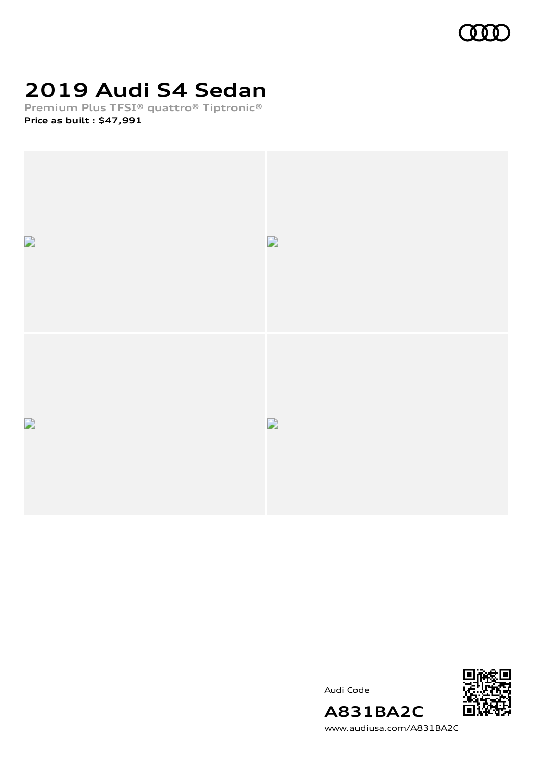

# **2019 Audi S4 Sedan**

**Premium Plus TFSI® quattro® Tiptronic® Price as built [:](#page-8-0) \$47,991**



Audi Code



[www.audiusa.com/A831BA2C](https://www.audiusa.com/A831BA2C)

**A831BA2C**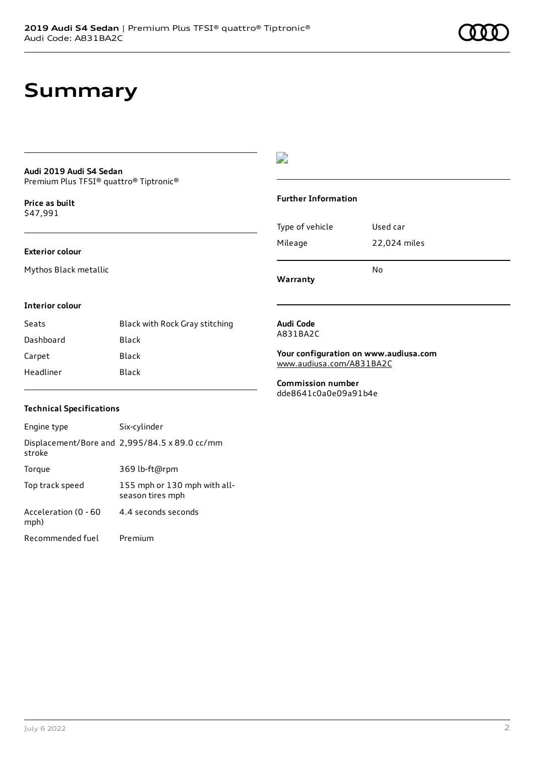### **Summary**

### **Audi 2019 Audi S4 Sedan**

Premium Plus TFSI® quattro® Tiptronic®

**Price as buil[t](#page-8-0)** \$47,991

#### **Exterior colour**

Mythos Black metallic

### $\overline{\phantom{a}}$

#### **Further Information**

|                 | N٥           |
|-----------------|--------------|
| Mileage         | 22,024 miles |
| Type of vehicle | Used car     |

**Warranty**

#### **Interior colour**

| Seats     | Black with Rock Gray stitching |
|-----------|--------------------------------|
| Dashboard | Black                          |
| Carpet    | Black                          |
| Headliner | Black                          |

#### **Audi Code** A831BA2C

**Your configuration on www.audiusa.com**

[www.audiusa.com/A831BA2C](https://www.audiusa.com/A831BA2C)

**Commission number** dde8641c0a0e09a91b4e

### **Technical Specifications**

| Engine type                  | Six-cylinder                                     |
|------------------------------|--------------------------------------------------|
| stroke                       | Displacement/Bore and 2,995/84.5 x 89.0 cc/mm    |
| Torque                       | 369 lb-ft@rpm                                    |
| Top track speed              | 155 mph or 130 mph with all-<br>season tires mph |
| Acceleration (0 - 60<br>mph) | 4.4 seconds seconds                              |
| Recommended fuel             | Premium                                          |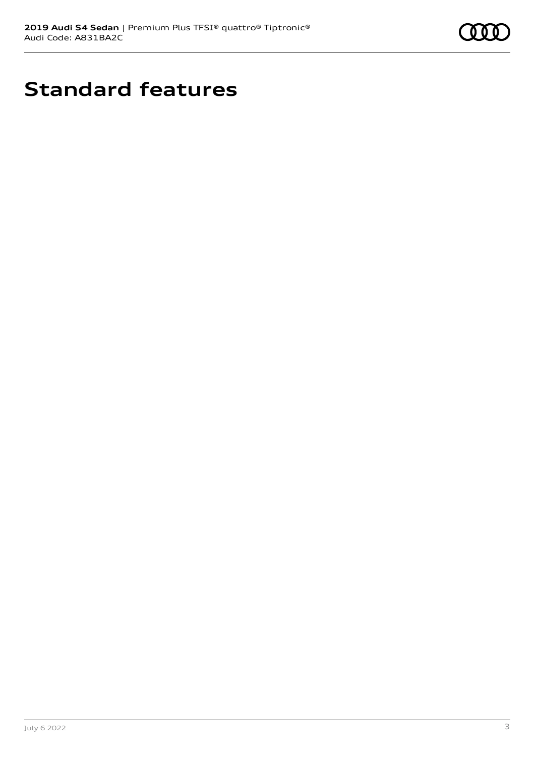

# **Standard features**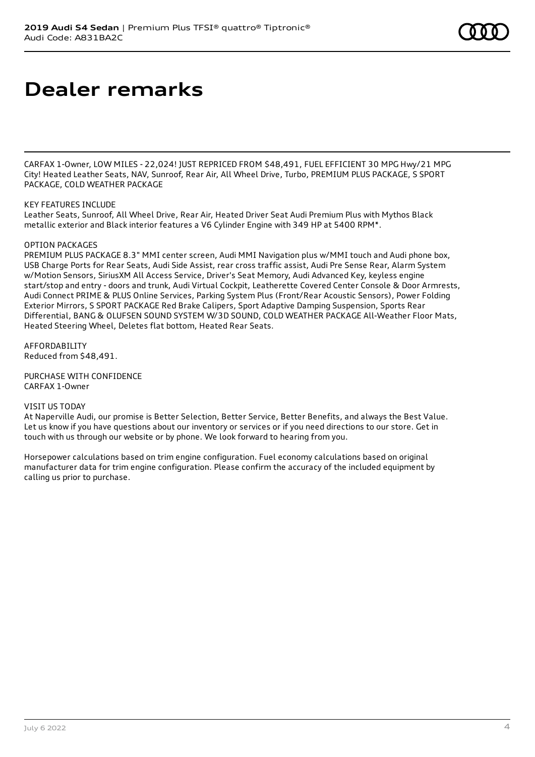# **Dealer remarks**

CARFAX 1-Owner, LOW MILES - 22,024! JUST REPRICED FROM \$48,491, FUEL EFFICIENT 30 MPG Hwy/21 MPG City! Heated Leather Seats, NAV, Sunroof, Rear Air, All Wheel Drive, Turbo, PREMIUM PLUS PACKAGE, S SPORT PACKAGE, COLD WEATHER PACKAGE

#### KEY FEATURES INCLUDE

Leather Seats, Sunroof, All Wheel Drive, Rear Air, Heated Driver Seat Audi Premium Plus with Mythos Black metallic exterior and Black interior features a V6 Cylinder Engine with 349 HP at 5400 RPM\*.

#### OPTION PACKAGES

PREMIUM PLUS PACKAGE 8.3" MMI center screen, Audi MMI Navigation plus w/MMI touch and Audi phone box, USB Charge Ports for Rear Seats, Audi Side Assist, rear cross traffic assist, Audi Pre Sense Rear, Alarm System w/Motion Sensors, SiriusXM All Access Service, Driver's Seat Memory, Audi Advanced Key, keyless engine start/stop and entry - doors and trunk, Audi Virtual Cockpit, Leatherette Covered Center Console & Door Armrests, Audi Connect PRIME & PLUS Online Services, Parking System Plus (Front/Rear Acoustic Sensors), Power Folding Exterior Mirrors, S SPORT PACKAGE Red Brake Calipers, Sport Adaptive Damping Suspension, Sports Rear Differential, BANG & OLUFSEN SOUND SYSTEM W/3D SOUND, COLD WEATHER PACKAGE All-Weather Floor Mats, Heated Steering Wheel, Deletes flat bottom, Heated Rear Seats.

AFFORDABILITY Reduced from \$48,491.

PURCHASE WITH CONFIDENCE CARFAX 1-Owner

VISIT US TODAY

At Naperville Audi, our promise is Better Selection, Better Service, Better Benefits, and always the Best Value. Let us know if you have questions about our inventory or services or if you need directions to our store. Get in touch with us through our website or by phone. We look forward to hearing from you.

Horsepower calculations based on trim engine configuration. Fuel economy calculations based on original manufacturer data for trim engine configuration. Please confirm the accuracy of the included equipment by calling us prior to purchase.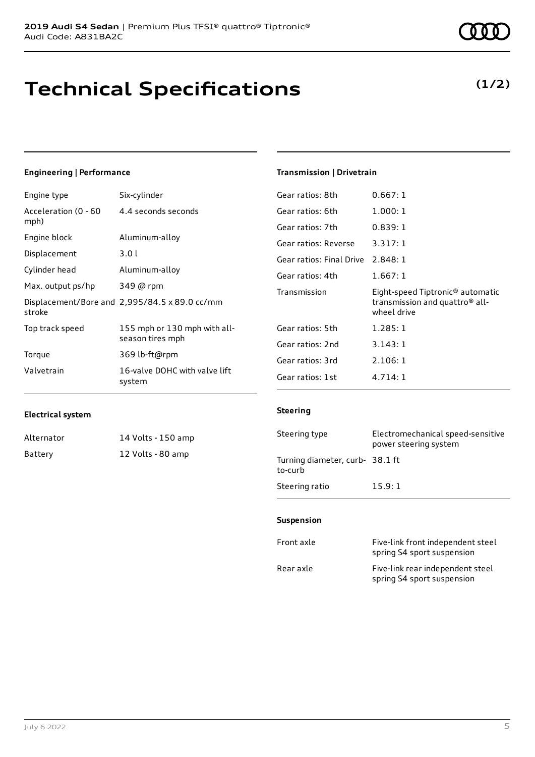# **Technical Specifications**

### Engine type Six-cylinder

**Engineering | Performance**

| Acceleration (0 - 60<br>mph) | 4.4 seconds seconds                              |
|------------------------------|--------------------------------------------------|
| Engine block                 | Aluminum-alloy                                   |
| Displacement                 | 3.01                                             |
| Cylinder head                | Aluminum-alloy                                   |
| Max. output ps/hp            | 349 @ rpm                                        |
| stroke                       | Displacement/Bore and 2,995/84.5 x 89.0 cc/mm    |
| Top track speed              | 155 mph or 130 mph with all-<br>season tires mph |
| Torque                       | 369 lb-ft@rpm                                    |
| Valvetrain                   | 16-valve DOHC with valve lift<br>system          |

### **Transmission | Drivetrain**

| Gear ratios: 8th                  | 0.667:1                                                                                                   |
|-----------------------------------|-----------------------------------------------------------------------------------------------------------|
| Gear ratios: 6th                  | 1.000:1                                                                                                   |
| Gear ratios: 7th                  | 0.839:1                                                                                                   |
| Gear ratios: Reverse              | 3.317:1                                                                                                   |
| Gear ratios: Final Drive 2.848: 1 |                                                                                                           |
| Gear ratios: 4th                  | 1.667:1                                                                                                   |
|                                   |                                                                                                           |
| Transmission                      | Eight-speed Tiptronic <sup>®</sup> automatic<br>transmission and quattro <sup>®</sup> all-<br>wheel drive |
| Gear ratios: 5th                  | 1.285:1                                                                                                   |
| Gear ratios: 2nd                  | 3.143:1                                                                                                   |
| Gear ratios: 3rd                  | 2.106:1                                                                                                   |

### **Electrical system**

| Alternator | 14 Volts - 150 amp |
|------------|--------------------|
| Battery    | 12 Volts - 80 amp  |

#### **Steering**

| Steering type                             | Electromechanical speed-sensitive<br>power steering system |
|-------------------------------------------|------------------------------------------------------------|
| Turning diameter, curb-38.1 ft<br>to-curb |                                                            |
| Steering ratio                            | 15.9:1                                                     |

#### **Suspension**

| Front axle | Five-link front independent steel<br>spring S4 sport suspension |
|------------|-----------------------------------------------------------------|
| Rear axle  | Five-link rear independent steel<br>spring S4 sport suspension  |

**(1/2)**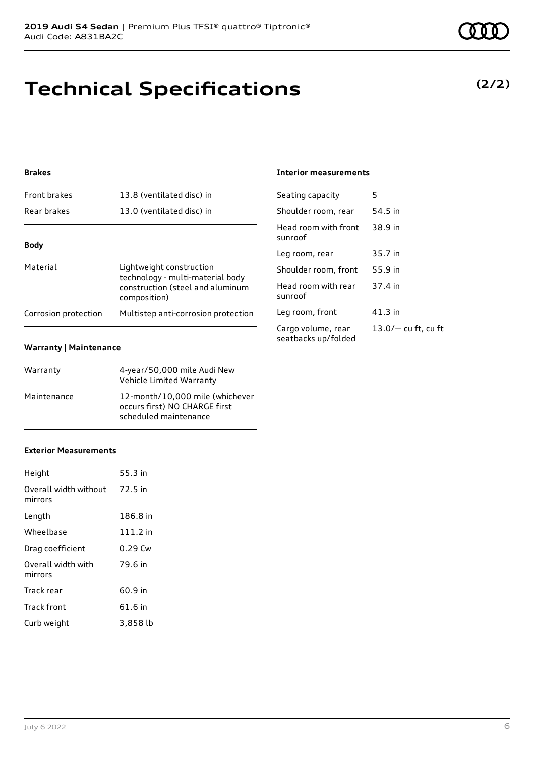

**Brakes**

| Material             | Lightweight construction<br>technology - multi-material body<br>construction (steel and aluminum<br>composition) |
|----------------------|------------------------------------------------------------------------------------------------------------------|
| Corrosion protection | Multistep anti-corrosion protection                                                                              |

Front brakes 13.8 (ventilated disc) in Rear brakes 13.0 (ventilated disc) in

### **Warranty | Maintenance**

| Warranty    | 4-year/50,000 mile Audi New<br>Vehicle Limited Warranty                                   |
|-------------|-------------------------------------------------------------------------------------------|
| Maintenance | 12-month/10,000 mile (whichever<br>occurs first) NO CHARGE first<br>scheduled maintenance |

### **Exterior Measurements**

| Height                           | 55.3 in  |
|----------------------------------|----------|
| Overall width without<br>mirrors | 72.5 in  |
| Length                           | 186.8 in |
| Wheelbase                        | 111.2 in |
| Drag coefficient                 | 0.29 Cw  |
| Overall width with<br>mirrors    | 79.6 in  |
| Track rear                       | 60.9 in  |
| Track front                      | 61.6 in  |
| Curb weight                      | 3,858 lb |

**Technical Specifications**

### **Interior measurements**

| Seating capacity                          | 5                     |
|-------------------------------------------|-----------------------|
| Shoulder room, rear                       | 54.5 in               |
| Head room with front<br>sunroof           | 38.9 in               |
| Leg room, rear                            | 35.7 in               |
| Shoulder room, front                      | 55.9 in               |
| Head room with rear<br>sunroof            | 37.4 in               |
| Leg room, front                           | 41.3 in               |
| Cargo volume, rear<br>seatbacks up/folded | $13.0/-$ cu ft, cu ft |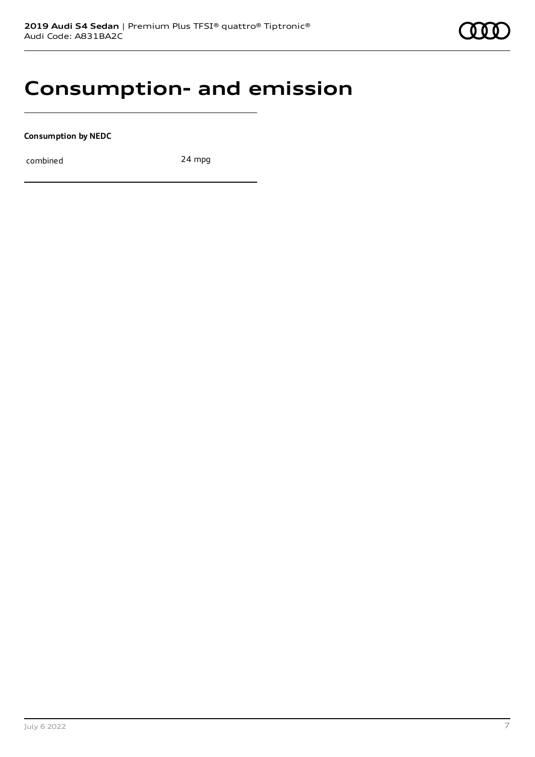### **Consumption- and emission**

**Consumption by NEDC**

combined 24 mpg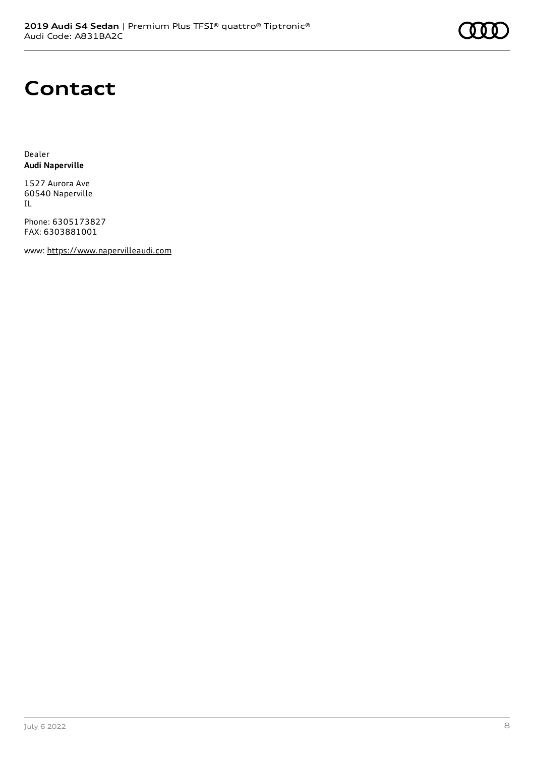# **Contact**

Dealer **Audi Naperville**

1527 Aurora Ave 60540 Naperville IL

Phone: 6305173827 FAX: 6303881001

www: [https://www.napervilleaudi.com](https://www.napervilleaudi.com/)